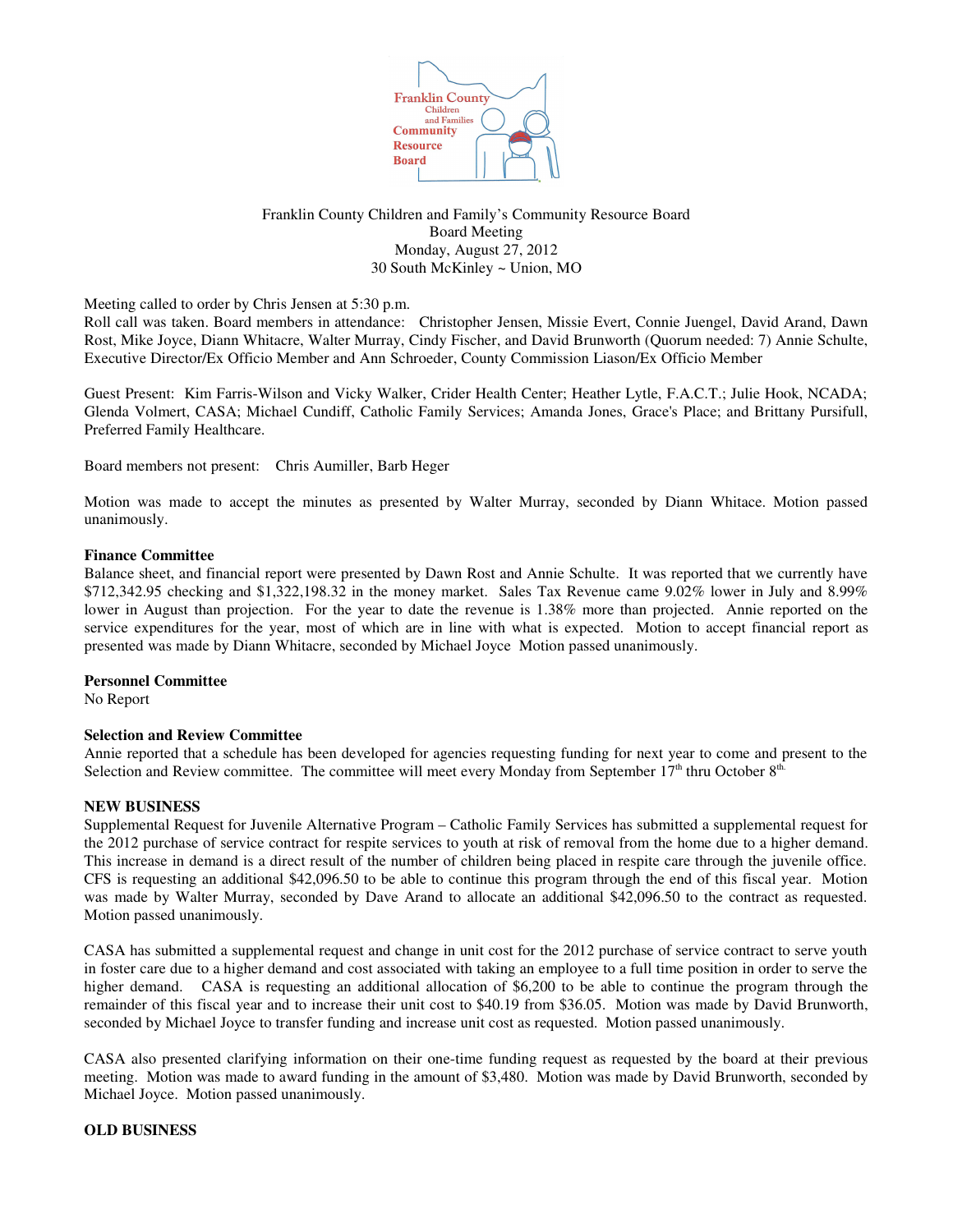

# Franklin County Children and Family's Community Resource Board Board Meeting Monday, August 27, 2012 30 South McKinley ~ Union, MO

Meeting called to order by Chris Jensen at 5:30 p.m.

Roll call was taken. Board members in attendance: Christopher Jensen, Missie Evert, Connie Juengel, David Arand, Dawn Rost, Mike Joyce, Diann Whitacre, Walter Murray, Cindy Fischer, and David Brunworth (Quorum needed: 7) Annie Schulte, Executive Director/Ex Officio Member and Ann Schroeder, County Commission Liason/Ex Officio Member

Guest Present: Kim Farris-Wilson and Vicky Walker, Crider Health Center; Heather Lytle, F.A.C.T.; Julie Hook, NCADA; Glenda Volmert, CASA; Michael Cundiff, Catholic Family Services; Amanda Jones, Grace's Place; and Brittany Pursifull, Preferred Family Healthcare.

Board members not present: Chris Aumiller, Barb Heger

Motion was made to accept the minutes as presented by Walter Murray, seconded by Diann Whitace. Motion passed unanimously.

### **Finance Committee**

Balance sheet, and financial report were presented by Dawn Rost and Annie Schulte. It was reported that we currently have \$712,342.95 checking and \$1,322,198.32 in the money market. Sales Tax Revenue came 9.02% lower in July and 8.99% lower in August than projection. For the year to date the revenue is 1.38% more than projected. Annie reported on the service expenditures for the year, most of which are in line with what is expected. Motion to accept financial report as presented was made by Diann Whitacre, seconded by Michael Joyce Motion passed unanimously.

### **Personnel Committee**

No Report

## **Selection and Review Committee**

Annie reported that a schedule has been developed for agencies requesting funding for next year to come and present to the Selection and Review committee. The committee will meet every Monday from September  $17<sup>th</sup>$  thru October  $8<sup>th</sup>$ .

### **NEW BUSINESS**

Supplemental Request for Juvenile Alternative Program – Catholic Family Services has submitted a supplemental request for the 2012 purchase of service contract for respite services to youth at risk of removal from the home due to a higher demand. This increase in demand is a direct result of the number of children being placed in respite care through the juvenile office. CFS is requesting an additional \$42,096.50 to be able to continue this program through the end of this fiscal year. Motion was made by Walter Murray, seconded by Dave Arand to allocate an additional \$42,096.50 to the contract as requested. Motion passed unanimously.

CASA has submitted a supplemental request and change in unit cost for the 2012 purchase of service contract to serve youth in foster care due to a higher demand and cost associated with taking an employee to a full time position in order to serve the higher demand. CASA is requesting an additional allocation of \$6,200 to be able to continue the program through the remainder of this fiscal year and to increase their unit cost to \$40.19 from \$36.05. Motion was made by David Brunworth, seconded by Michael Joyce to transfer funding and increase unit cost as requested. Motion passed unanimously.

CASA also presented clarifying information on their one-time funding request as requested by the board at their previous meeting. Motion was made to award funding in the amount of \$3,480. Motion was made by David Brunworth, seconded by Michael Joyce. Motion passed unanimously.

## **OLD BUSINESS**